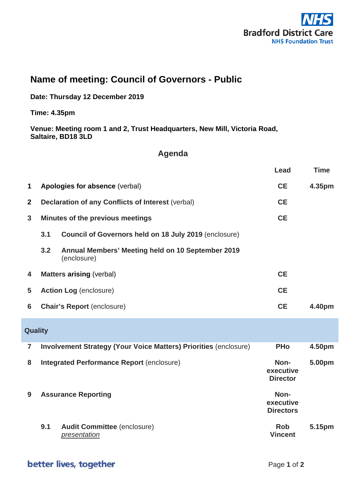

## **Name of meeting: Council of Governors - Public**

**Date: Thursday 12 December 2019**

**Time: 4.35pm**

**Venue: Meeting room 1 and 2, Trust Headquarters, New Mill, Victoria Road, Saltaire, BD18 3LD**

## **Agenda**

|                |                                                          |                                                                         | Lead                                  | <b>Time</b> |
|----------------|----------------------------------------------------------|-------------------------------------------------------------------------|---------------------------------------|-------------|
| 1              |                                                          | Apologies for absence (verbal)<br><b>CE</b>                             |                                       | 4.35pm      |
| $\mathbf{2}$   | <b>Declaration of any Conflicts of Interest (verbal)</b> |                                                                         |                                       |             |
| $\mathbf{3}$   | Minutes of the previous meetings                         |                                                                         | <b>CE</b>                             |             |
|                | 3.1                                                      | Council of Governors held on 18 July 2019 (enclosure)                   |                                       |             |
|                | 3.2                                                      | Annual Members' Meeting held on 10 September 2019<br>(enclosure)        |                                       |             |
| 4              | <b>CE</b><br><b>Matters arising (verbal)</b>             |                                                                         |                                       |             |
| 5              |                                                          | <b>Action Log (enclosure)</b>                                           | <b>CE</b>                             |             |
| 6              |                                                          | <b>Chair's Report (enclosure)</b>                                       | <b>CE</b>                             | 4.40pm      |
| Quality        |                                                          |                                                                         |                                       |             |
| $\overline{7}$ |                                                          | <b>Involvement Strategy (Your Voice Matters) Priorities (enclosure)</b> | <b>PHo</b>                            | 4.50pm      |
| 8              |                                                          | <b>Integrated Performance Report (enclosure)</b>                        | Non-<br>executive<br><b>Director</b>  | 5.00pm      |
| 9              | <b>Assurance Reporting</b>                               |                                                                         | Non-<br>executive<br><b>Directors</b> |             |
|                | 9.1                                                      | <b>Audit Committee (enclosure)</b><br>presentation                      | <b>Rob</b><br><b>Vincent</b>          | 5.15pm      |

## better lives, together